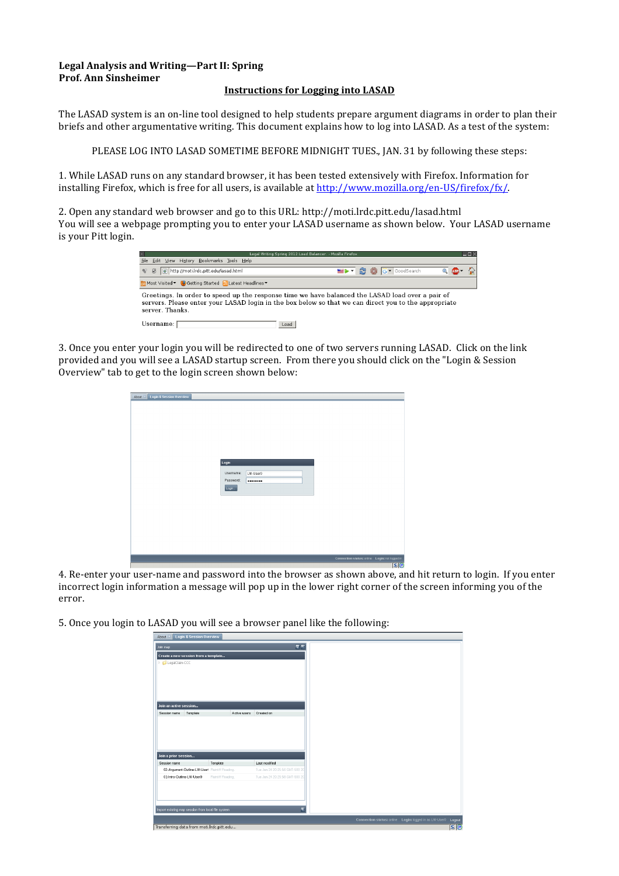## Legal Analysis and Writing—Part II: Spring **Prof.&Ann&Sinsheimer**

## **Instructions for Logging into LASAD**

The LASAD system is an on-line tool designed to help students prepare argument diagrams in order to plan their briefs and other argumentative writing. This document explains how to log into LASAD. As a test of the system:

PLEASE LOG INTO LASAD SOMETIME BEFORE MIDNIGHT TUES., JAN. 31 by following these steps:

1. While LASAD runs on any standard browser, it has been tested extensively with Firefox. Information for installing Firefox, which is free for all users, is available at http://www.mozilla.org/en-US/firefox/fx/.

2. Open any standard web browser and go to this URL: http://moti.lrdc.pitt.edu/lasad.html You will see a webpage prompting you to enter your LASAD username as shown below. Your LASAD username is your Pitt login.

| Legal Writing Spring 2012 Load Balancer, - Mozilla Firefox<br>20                                                                                                                                                                                                                                                                                                                                                                                                                                                                                                          | $-\Box$ |
|---------------------------------------------------------------------------------------------------------------------------------------------------------------------------------------------------------------------------------------------------------------------------------------------------------------------------------------------------------------------------------------------------------------------------------------------------------------------------------------------------------------------------------------------------------------------------|---------|
| File Edit View History Bookmarks Tools Help                                                                                                                                                                                                                                                                                                                                                                                                                                                                                                                               |         |
| $\blacksquare$ $\blacktriangleright$ $\blacktriangleright$ $\blacksquare$ $\blacksquare$ $\blacksquare$ $\blacksquare$ $\blacksquare$ $\blacksquare$ $\blacksquare$ $\blacksquare$ $\blacksquare$ $\blacksquare$ $\blacksquare$ $\blacksquare$ $\blacksquare$ $\blacksquare$ $\blacksquare$ $\blacksquare$ $\blacksquare$ $\blacksquare$ $\blacksquare$ $\blacksquare$ $\blacksquare$ $\blacksquare$ $\blacksquare$ $\blacksquare$ $\blacksquare$ $\blacksquare$ $\blacksquare$ $\blacksquare$ $\$<br>http://moti.lrdc.pitt.edu/lasad.html<br>$\mathcal{C}$ $\mathcal{S}$ |         |
| <b>Ba</b> Most Visited ▼ 2 Getting Started <b>NLatest Headlines ▼</b>                                                                                                                                                                                                                                                                                                                                                                                                                                                                                                     |         |
| Greetings. In order to speed up the response time we have balanced the LASAD load over a pair of<br>servers. Please enter your LASAD login in the box below so that we can direct you to the appropriate<br>server. Thanks.                                                                                                                                                                                                                                                                                                                                               |         |
| Username:<br>Load                                                                                                                                                                                                                                                                                                                                                                                                                                                                                                                                                         |         |

3. Once you enter your login you will be redirected to one of two servers running LASAD. Click on the link provided and you will see a LASAD startup screen. From there you should click on the "Login & Session Overview" tab to get to the login screen shown below:

| About $\mathbb{X}$ Login & Session Overview |           |          |                                                   |
|---------------------------------------------|-----------|----------|---------------------------------------------------|
|                                             |           |          |                                                   |
|                                             |           |          |                                                   |
|                                             |           |          |                                                   |
|                                             |           |          |                                                   |
|                                             |           |          |                                                   |
|                                             |           |          |                                                   |
|                                             |           |          |                                                   |
|                                             |           |          |                                                   |
|                                             | Login     |          |                                                   |
|                                             | Username: | LW-User0 |                                                   |
|                                             | Password: |          |                                                   |
|                                             | Login     |          |                                                   |
|                                             |           |          |                                                   |
|                                             |           |          |                                                   |
|                                             |           |          |                                                   |
|                                             |           |          |                                                   |
|                                             |           |          |                                                   |
|                                             |           |          |                                                   |
|                                             |           |          |                                                   |
|                                             |           |          |                                                   |
|                                             |           |          | Connection status: online    Login: not logged in |
|                                             |           |          | <b>s</b>                                          |

4. Re-enter your user-name and password into the browser as shown above, and hit return to login. If you enter incorrect login information a message will pop up in the lower right corner of the screen informing you of the error.

5. Once you login to LASAD you will see a browser panel like the following:

|                                                    | About X Login & Session Overview |                                |
|----------------------------------------------------|----------------------------------|--------------------------------|
| Join map                                           |                                  | $E \subseteq$                  |
| Create a new session from a template               |                                  |                                |
| <b>Example LegalClaim-CCC</b>                      |                                  |                                |
|                                                    |                                  |                                |
|                                                    |                                  |                                |
|                                                    |                                  |                                |
|                                                    |                                  |                                |
| Join an active session                             |                                  |                                |
| Template<br>Session name                           | Active users                     | Created on                     |
|                                                    |                                  |                                |
|                                                    |                                  |                                |
|                                                    |                                  |                                |
|                                                    |                                  |                                |
|                                                    |                                  |                                |
| Join a prior session                               |                                  |                                |
| Session name                                       | Template                         | Last modified                  |
| 02-Argument-Outline-LW-Userl Plaintiff Reading.    |                                  | Tue Jan 24 20:25:56 GMT-500 20 |
| 01-Intro-Outline-LW-User0                          | Plaintiff Reading.               | Tue Jan 24 20:25:58 GMT-500 20 |
|                                                    |                                  |                                |
|                                                    |                                  |                                |
|                                                    |                                  |                                |
| Import existing map session from local file system |                                  | Æ                              |
| Transferring data from moti.lrdc.pitt.edu          |                                  |                                |